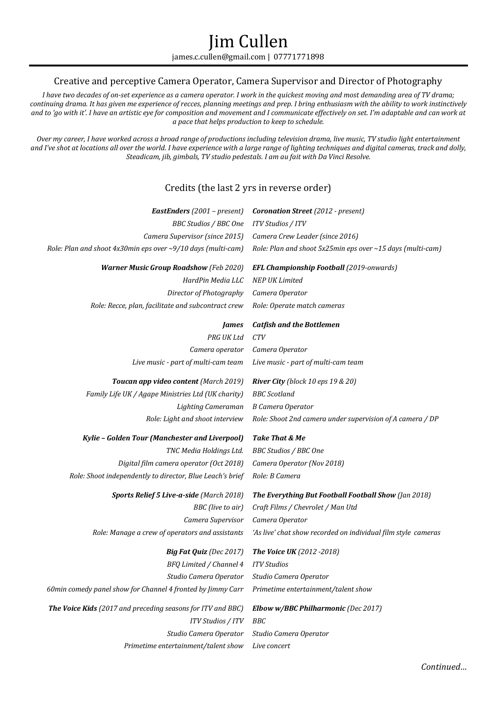# Jim Cullen james.c.cullen@gmail.com | 07771771898

# Creative and perceptive Camera Operator, Camera Supervisor and Director of Photography

*I have two decades of on-set experience as a camera operator. I work in the quickest moving and most demanding area of TV drama; continuing drama. It has given me experience of recces, planning meetings and prep. I bring enthusiasm with the ability to work instinctively* and to 'go with it'. I have an artistic eye for composition and movement and I communicate effectively on set. I'm adaptable and can work at *a pace that helps production to keep to schedule.*

*Over my career, I have worked across a broad range of productions including television drama, live music, TV studio light entertainment and I've shot at locations all over the world. I have experience with a large range of lighting techniques and digital cameras, track and dolly, Steadicam, jib, gimbals, TV studio pedestals. I am au fait with Da Vinci Resolve.*

# Credits (the last 2 yrs in reverse order)

| <b>BBC Studios / BBC One</b><br>ITV Studios / ITV<br>Camera Supervisor (since 2015)<br>Camera Crew Leader (since 2016)<br>Role: Plan and shoot 5x25min eps over ~15 days (multi-cam)<br><b>Warner Music Group Roadshow</b> (Feb 2020)<br><b>EFL Championship Football (2019-onwards)</b><br><b>NEP UK Limited</b><br>HardPin Media LLC<br>Director of Photography<br>Camera Operator<br>Role: Recce, plan, facilitate and subcontract crew<br>Role: Operate match cameras<br><b>Catfish and the Bottlemen</b><br><b>James</b><br>PRG UK Ltd<br>CTV<br>Camera Operator<br>Camera operator<br>Live music - part of multi-cam team<br>Live music - part of multi-cam team<br>Toucan app video content (March 2019)<br><b>River City</b> (block 10 eps 19 & 20)<br><b>BBC</b> Scotland<br>Family Life UK / Agape Ministries Ltd (UK charity)<br>Lighting Cameraman<br><b>B Camera Operator</b><br>Role: Shoot 2nd camera under supervision of A camera / DP<br>Role: Light and shoot interview<br>Take That & Me<br>Kylie - Golden Tour (Manchester and Liverpool)<br>TNC Media Holdings Ltd.<br><b>BBC Studios / BBC One</b><br>Digital film camera operator (Oct 2018)<br>Camera Operator (Nov 2018)<br>Role: Shoot independently to director, Blue Leach's brief<br>Role: B Camera<br>Sports Relief 5 Live-a-side (March 2018)<br>The Everything But Football Football Show (Jan 2018)<br>BBC (live to air)<br>Craft Films / Chevrolet / Man Utd<br>Camera Supervisor<br>Camera Operator<br>Role: Manage a crew of operators and assistants<br>'As live' chat show recorded on individual film style cameras<br><b>Big Fat Quiz</b> (Dec 2017)<br>The Voice UK (2012 - 2018)<br>BFQ Limited / Channel 4<br><b>ITV Studios</b><br>Studio Camera Operator<br>Studio Camera Operator<br>Primetime entertainment/talent show<br>The Voice Kids (2017 and preceding seasons for ITV and BBC)<br>Elbow w/BBC Philharmonic (Dec 2017)<br>ITV Studios / ITV<br>BBC<br>Studio Camera Operator<br>Studio Camera Operator<br>Primetime entertainment/talent show<br>Live concert | EastEnders (2001 - present)                                  | <b>Coronation Street</b> (2012 - present) |
|----------------------------------------------------------------------------------------------------------------------------------------------------------------------------------------------------------------------------------------------------------------------------------------------------------------------------------------------------------------------------------------------------------------------------------------------------------------------------------------------------------------------------------------------------------------------------------------------------------------------------------------------------------------------------------------------------------------------------------------------------------------------------------------------------------------------------------------------------------------------------------------------------------------------------------------------------------------------------------------------------------------------------------------------------------------------------------------------------------------------------------------------------------------------------------------------------------------------------------------------------------------------------------------------------------------------------------------------------------------------------------------------------------------------------------------------------------------------------------------------------------------------------------------------------------------------------------------------------------------------------------------------------------------------------------------------------------------------------------------------------------------------------------------------------------------------------------------------------------------------------------------------------------------------------------------------------------------------------------------------------------------------------------------------------------------------|--------------------------------------------------------------|-------------------------------------------|
|                                                                                                                                                                                                                                                                                                                                                                                                                                                                                                                                                                                                                                                                                                                                                                                                                                                                                                                                                                                                                                                                                                                                                                                                                                                                                                                                                                                                                                                                                                                                                                                                                                                                                                                                                                                                                                                                                                                                                                                                                                                                      |                                                              |                                           |
|                                                                                                                                                                                                                                                                                                                                                                                                                                                                                                                                                                                                                                                                                                                                                                                                                                                                                                                                                                                                                                                                                                                                                                                                                                                                                                                                                                                                                                                                                                                                                                                                                                                                                                                                                                                                                                                                                                                                                                                                                                                                      |                                                              |                                           |
|                                                                                                                                                                                                                                                                                                                                                                                                                                                                                                                                                                                                                                                                                                                                                                                                                                                                                                                                                                                                                                                                                                                                                                                                                                                                                                                                                                                                                                                                                                                                                                                                                                                                                                                                                                                                                                                                                                                                                                                                                                                                      | Role: Plan and shoot 4x30min eps over ~9/10 days (multi-cam) |                                           |
|                                                                                                                                                                                                                                                                                                                                                                                                                                                                                                                                                                                                                                                                                                                                                                                                                                                                                                                                                                                                                                                                                                                                                                                                                                                                                                                                                                                                                                                                                                                                                                                                                                                                                                                                                                                                                                                                                                                                                                                                                                                                      |                                                              |                                           |
|                                                                                                                                                                                                                                                                                                                                                                                                                                                                                                                                                                                                                                                                                                                                                                                                                                                                                                                                                                                                                                                                                                                                                                                                                                                                                                                                                                                                                                                                                                                                                                                                                                                                                                                                                                                                                                                                                                                                                                                                                                                                      |                                                              |                                           |
|                                                                                                                                                                                                                                                                                                                                                                                                                                                                                                                                                                                                                                                                                                                                                                                                                                                                                                                                                                                                                                                                                                                                                                                                                                                                                                                                                                                                                                                                                                                                                                                                                                                                                                                                                                                                                                                                                                                                                                                                                                                                      |                                                              |                                           |
|                                                                                                                                                                                                                                                                                                                                                                                                                                                                                                                                                                                                                                                                                                                                                                                                                                                                                                                                                                                                                                                                                                                                                                                                                                                                                                                                                                                                                                                                                                                                                                                                                                                                                                                                                                                                                                                                                                                                                                                                                                                                      |                                                              |                                           |
|                                                                                                                                                                                                                                                                                                                                                                                                                                                                                                                                                                                                                                                                                                                                                                                                                                                                                                                                                                                                                                                                                                                                                                                                                                                                                                                                                                                                                                                                                                                                                                                                                                                                                                                                                                                                                                                                                                                                                                                                                                                                      |                                                              |                                           |
|                                                                                                                                                                                                                                                                                                                                                                                                                                                                                                                                                                                                                                                                                                                                                                                                                                                                                                                                                                                                                                                                                                                                                                                                                                                                                                                                                                                                                                                                                                                                                                                                                                                                                                                                                                                                                                                                                                                                                                                                                                                                      |                                                              |                                           |
|                                                                                                                                                                                                                                                                                                                                                                                                                                                                                                                                                                                                                                                                                                                                                                                                                                                                                                                                                                                                                                                                                                                                                                                                                                                                                                                                                                                                                                                                                                                                                                                                                                                                                                                                                                                                                                                                                                                                                                                                                                                                      |                                                              |                                           |
|                                                                                                                                                                                                                                                                                                                                                                                                                                                                                                                                                                                                                                                                                                                                                                                                                                                                                                                                                                                                                                                                                                                                                                                                                                                                                                                                                                                                                                                                                                                                                                                                                                                                                                                                                                                                                                                                                                                                                                                                                                                                      |                                                              |                                           |
|                                                                                                                                                                                                                                                                                                                                                                                                                                                                                                                                                                                                                                                                                                                                                                                                                                                                                                                                                                                                                                                                                                                                                                                                                                                                                                                                                                                                                                                                                                                                                                                                                                                                                                                                                                                                                                                                                                                                                                                                                                                                      |                                                              |                                           |
|                                                                                                                                                                                                                                                                                                                                                                                                                                                                                                                                                                                                                                                                                                                                                                                                                                                                                                                                                                                                                                                                                                                                                                                                                                                                                                                                                                                                                                                                                                                                                                                                                                                                                                                                                                                                                                                                                                                                                                                                                                                                      |                                                              |                                           |
|                                                                                                                                                                                                                                                                                                                                                                                                                                                                                                                                                                                                                                                                                                                                                                                                                                                                                                                                                                                                                                                                                                                                                                                                                                                                                                                                                                                                                                                                                                                                                                                                                                                                                                                                                                                                                                                                                                                                                                                                                                                                      |                                                              |                                           |
|                                                                                                                                                                                                                                                                                                                                                                                                                                                                                                                                                                                                                                                                                                                                                                                                                                                                                                                                                                                                                                                                                                                                                                                                                                                                                                                                                                                                                                                                                                                                                                                                                                                                                                                                                                                                                                                                                                                                                                                                                                                                      |                                                              |                                           |
|                                                                                                                                                                                                                                                                                                                                                                                                                                                                                                                                                                                                                                                                                                                                                                                                                                                                                                                                                                                                                                                                                                                                                                                                                                                                                                                                                                                                                                                                                                                                                                                                                                                                                                                                                                                                                                                                                                                                                                                                                                                                      |                                                              |                                           |
|                                                                                                                                                                                                                                                                                                                                                                                                                                                                                                                                                                                                                                                                                                                                                                                                                                                                                                                                                                                                                                                                                                                                                                                                                                                                                                                                                                                                                                                                                                                                                                                                                                                                                                                                                                                                                                                                                                                                                                                                                                                                      |                                                              |                                           |
|                                                                                                                                                                                                                                                                                                                                                                                                                                                                                                                                                                                                                                                                                                                                                                                                                                                                                                                                                                                                                                                                                                                                                                                                                                                                                                                                                                                                                                                                                                                                                                                                                                                                                                                                                                                                                                                                                                                                                                                                                                                                      |                                                              |                                           |
|                                                                                                                                                                                                                                                                                                                                                                                                                                                                                                                                                                                                                                                                                                                                                                                                                                                                                                                                                                                                                                                                                                                                                                                                                                                                                                                                                                                                                                                                                                                                                                                                                                                                                                                                                                                                                                                                                                                                                                                                                                                                      |                                                              |                                           |
|                                                                                                                                                                                                                                                                                                                                                                                                                                                                                                                                                                                                                                                                                                                                                                                                                                                                                                                                                                                                                                                                                                                                                                                                                                                                                                                                                                                                                                                                                                                                                                                                                                                                                                                                                                                                                                                                                                                                                                                                                                                                      |                                                              |                                           |
|                                                                                                                                                                                                                                                                                                                                                                                                                                                                                                                                                                                                                                                                                                                                                                                                                                                                                                                                                                                                                                                                                                                                                                                                                                                                                                                                                                                                                                                                                                                                                                                                                                                                                                                                                                                                                                                                                                                                                                                                                                                                      |                                                              |                                           |
|                                                                                                                                                                                                                                                                                                                                                                                                                                                                                                                                                                                                                                                                                                                                                                                                                                                                                                                                                                                                                                                                                                                                                                                                                                                                                                                                                                                                                                                                                                                                                                                                                                                                                                                                                                                                                                                                                                                                                                                                                                                                      |                                                              |                                           |
|                                                                                                                                                                                                                                                                                                                                                                                                                                                                                                                                                                                                                                                                                                                                                                                                                                                                                                                                                                                                                                                                                                                                                                                                                                                                                                                                                                                                                                                                                                                                                                                                                                                                                                                                                                                                                                                                                                                                                                                                                                                                      |                                                              |                                           |
|                                                                                                                                                                                                                                                                                                                                                                                                                                                                                                                                                                                                                                                                                                                                                                                                                                                                                                                                                                                                                                                                                                                                                                                                                                                                                                                                                                                                                                                                                                                                                                                                                                                                                                                                                                                                                                                                                                                                                                                                                                                                      |                                                              |                                           |
|                                                                                                                                                                                                                                                                                                                                                                                                                                                                                                                                                                                                                                                                                                                                                                                                                                                                                                                                                                                                                                                                                                                                                                                                                                                                                                                                                                                                                                                                                                                                                                                                                                                                                                                                                                                                                                                                                                                                                                                                                                                                      |                                                              |                                           |
|                                                                                                                                                                                                                                                                                                                                                                                                                                                                                                                                                                                                                                                                                                                                                                                                                                                                                                                                                                                                                                                                                                                                                                                                                                                                                                                                                                                                                                                                                                                                                                                                                                                                                                                                                                                                                                                                                                                                                                                                                                                                      |                                                              |                                           |
|                                                                                                                                                                                                                                                                                                                                                                                                                                                                                                                                                                                                                                                                                                                                                                                                                                                                                                                                                                                                                                                                                                                                                                                                                                                                                                                                                                                                                                                                                                                                                                                                                                                                                                                                                                                                                                                                                                                                                                                                                                                                      | 60min comedy panel show for Channel 4 fronted by Jimmy Carr  |                                           |
|                                                                                                                                                                                                                                                                                                                                                                                                                                                                                                                                                                                                                                                                                                                                                                                                                                                                                                                                                                                                                                                                                                                                                                                                                                                                                                                                                                                                                                                                                                                                                                                                                                                                                                                                                                                                                                                                                                                                                                                                                                                                      |                                                              |                                           |
|                                                                                                                                                                                                                                                                                                                                                                                                                                                                                                                                                                                                                                                                                                                                                                                                                                                                                                                                                                                                                                                                                                                                                                                                                                                                                                                                                                                                                                                                                                                                                                                                                                                                                                                                                                                                                                                                                                                                                                                                                                                                      |                                                              |                                           |
|                                                                                                                                                                                                                                                                                                                                                                                                                                                                                                                                                                                                                                                                                                                                                                                                                                                                                                                                                                                                                                                                                                                                                                                                                                                                                                                                                                                                                                                                                                                                                                                                                                                                                                                                                                                                                                                                                                                                                                                                                                                                      |                                                              |                                           |
|                                                                                                                                                                                                                                                                                                                                                                                                                                                                                                                                                                                                                                                                                                                                                                                                                                                                                                                                                                                                                                                                                                                                                                                                                                                                                                                                                                                                                                                                                                                                                                                                                                                                                                                                                                                                                                                                                                                                                                                                                                                                      |                                                              |                                           |